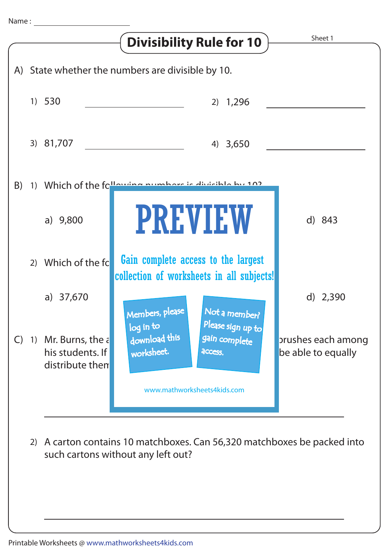